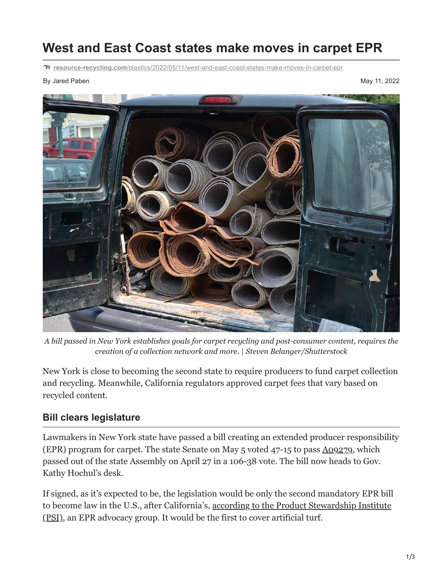# **West and East Coast states make moves in carpet EPR**

**resource-recycling.com**[/plastics/2022/05/11/west-and-east-coast-states-make-moves-in-carpet-epr](https://resource-recycling.com/plastics/2022/05/11/west-and-east-coast-states-make-moves-in-carpet-epr/)

By Jared Paben May 11, 2022



*A bill passed in New York establishes goals for carpet recycling and post-consumer content, requires the creation of a collection network and more.* | *Steven Belanger/Shutterstock*

New York is close to becoming the second state to require producers to fund carpet collection and recycling. Meanwhile, California regulators approved carpet fees that vary based on recycled content.

#### **Bill clears legislature**

Lawmakers in New York state have passed a bill creating an extended producer responsibility (EPR) program for carpet. The state Senate on May 5 voted 47-15 to pass [A09279,](https://legiscan.com/NY/bill/A09279/2021) which passed out of the state Assembly on April 27 in a 106-38 vote. The bill now heads to Gov. Kathy Hochul's desk.

If signed, as it's expected to be, the legislation would be only the second mandatory EPR bill [to become law in the U.S., after California's, according to the Product Stewardship Institute](https://www.productstewardship.us/news/604534/New-York-State-Legislature-Passes-Carpet-EPR-Bill.htm) (PSI), an EPR advocacy group. It would be the first to cover artificial turf.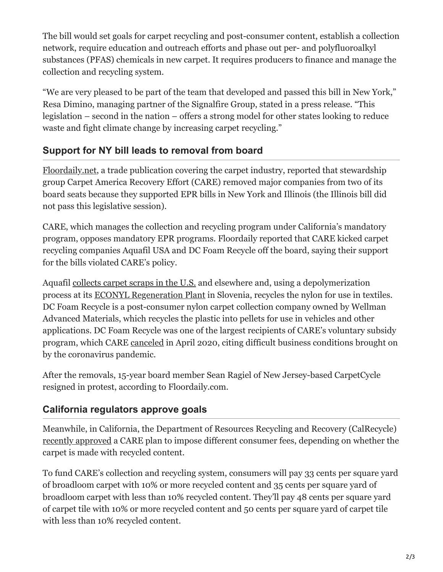The bill would set goals for carpet recycling and post-consumer content, establish a collection network, require education and outreach efforts and phase out per- and polyfluoroalkyl substances (PFAS) chemicals in new carpet. It requires producers to finance and manage the collection and recycling system.

"We are very pleased to be part of the team that developed and passed this bill in New York," Resa Dimino, managing partner of the Signalfire Group, stated in a press release. "This legislation – second in the nation – offers a strong model for other states looking to reduce waste and fight climate change by increasing carpet recycling."

# **Support for NY bill leads to removal from board**

[Floordaily.net,](https://www.floordaily.net/flooring-news/aquafils-rossi-terminated-from-care-board-for-supporting-erp-legislation-in-other-states) a trade publication covering the carpet industry, reported that stewardship group Carpet America Recovery Effort (CARE) removed major companies from two of its board seats because they supported EPR bills in New York and Illinois (the Illinois bill did not pass this legislative session).

CARE, which manages the collection and recycling program under California's mandatory program, opposes mandatory EPR programs. Floordaily reported that CARE kicked carpet recycling companies Aquafil USA and DC Foam Recycle off the board, saying their support for the bills violated CARE's policy.

Aquafil [collects carpet scraps in the U.S.](https://resource-recycling.com/plastics/2019/01/30/reclaimer-opens-southwest-carpet-recovery-operation/) and elsewhere and, using a depolymerization process at its [ECONYL Regeneration Plant](https://www.prada.com/us/en/pradasphere/special-projects/2019/prada-re-nylon-5.html) in Slovenia, recycles the nylon for use in textiles. DC Foam Recycle is a post-consumer nylon carpet collection company owned by Wellman Advanced Materials, which recycles the plastic into pellets for use in vehicles and other applications. DC Foam Recycle was one of the largest recipients of CARE's voluntary subsidy program, which CARE [canceled](https://resource-recycling.com/plastics/2020/04/29/carpet-producers-to-end-voluntary-recycling-subsidies/) in April 2020, citing difficult business conditions brought on by the coronavirus pandemic.

After the removals, 15-year board member Sean Ragiel of New Jersey-based CarpetCycle resigned in protest, according to Floordaily.com.

### **California regulators approve goals**

Meanwhile, in California, the Department of Resources Recycling and Recovery (CalRecycle) [recently approved](https://www2.calrecycle.ca.gov/PublicNotices/Details/4654) a CARE plan to impose different consumer fees, depending on whether the carpet is made with recycled content.

To fund CARE's collection and recycling system, consumers will pay 33 cents per square yard of broadloom carpet with 10% or more recycled content and 35 cents per square yard of broadloom carpet with less than 10% recycled content. They'll pay 48 cents per square yard of carpet tile with 10% or more recycled content and 50 cents per square yard of carpet tile with less than 10% recycled content.